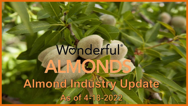# Wonderful® ALMONDS Almond Industry Update AS of 4-18-2022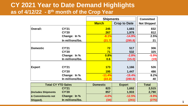### **CY 2021 Year to Date Demand Highlights as of 4/12/22 - 8th month of the Crop Year**

|                           |                  | <b>Shipments</b> |                     | <b>Committed</b>   |
|---------------------------|------------------|------------------|---------------------|--------------------|
|                           |                  | <b>March</b>     | <b>Crop to Date</b> | <b>Not Shipped</b> |
| <b>Overall:</b>           | <b>CY'21</b>     | 245              | 1,683               | 832                |
|                           | <b>CY'20</b>     | 267              | 1,979               | 812                |
|                           | Change: In %     | $-8.1%$          | $-14.9%$            | 2.5%               |
|                           | In millions/lbs. | (21.7)           | (295.8)             | 21                 |
|                           |                  |                  |                     |                    |
| <b>Domestic</b>           | <b>CY'21</b>     | 72               | 517                 | 306                |
|                           | <b>CY'20</b>     | 71               | 532                 | 325                |
|                           | Change: In %     | 0.8%             | $-2.8%$             | $-5.9%$            |
|                           | In millions/lbs. | 0.6              | (15.0)              | (19)               |
|                           |                  |                  |                     |                    |
| <b>Export</b>             | <b>CY'21</b>     | <b>173</b>       | 1,166               | 526                |
|                           | <b>CY'20</b>     | <b>195</b>       | 1,447               | 486                |
|                           | Change: In %     | $-11.4%$         | $-19.4%$            | 8.2%               |
|                           | In millions/lbs. | (22.2)           | (280.8)             | 40                 |
| <b>Total CY YTD Sales</b> |                  | <b>Domestic</b>  | <b>Export</b>       | <b>Total</b>       |
|                           | <b>CY'21</b>     | 823              | 1,692               | 2,515              |
| (Includes Shipments       | <b>CY'20</b>     | 857              | 1,933               | 2,790              |
| & Commitments not         | Change: In %     | $-4.0%$          | $-12.5%$            | $-9.9%$            |
| Shipped).                 | In millions/lbs. | (34)             | (241)               | (275)              |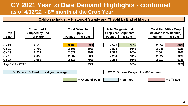### **CY 2021 Year to Date Demand Highlights - continued as of 4/12/22 - 8th month of the Crop Year**

#### **California Industry Historical Supply and % Sold by End of March**

| Crop                    | <b>Committed &amp;</b><br><b>Shipped by End</b> |               | <b>Total Saleable</b><br><b>Supply</b> | <b>Total Target/Actual</b> | <b>Crop Year Shipments</b> | <b>Total Net Edible Crop</b><br>(= Gross less Inedible) |        |  |  |
|-------------------------|-------------------------------------------------|---------------|----------------------------------------|----------------------------|----------------------------|---------------------------------------------------------|--------|--|--|
| Year                    | of March                                        | <b>Pounds</b> | % Sold                                 | <b>Pounds</b>              | % Sold                     | <b>Pounds</b>                                           | % Sold |  |  |
| <b>CY 21</b>            | 2,515                                           | 3,460         | 73%                                    | 2,570                      | 98%                        | 2,852                                                   | 88%    |  |  |
| <b>CY 20</b>            | 2,790                                           | 3,506         | 80%                                    | 2,898                      | 96%                        | 3,048                                                   | 92%    |  |  |
| <b>CY 19</b>            | 2,237                                           | 2,822         | 79%                                    | 2,372                      | 94%                        | 2,504                                                   | 89%    |  |  |
| <b>CY 18</b>            | 2,053                                           | 2,582         | 80%                                    | 2,264                      | 91%                        | 2,222                                                   | 92%    |  |  |
| <b>CY 17</b>            | 2,058                                           | 2,611         | 79%                                    | 2,252                      | 91%                        | 2,212                                                   | 93%    |  |  |
| <b>Avg CY17 - CY20:</b> |                                                 |               | 79%                                    |                            | 93%                        |                                                         | 92%    |  |  |

**On Pace = +/- 3% of prior 4 year average CY'21 Outlook Carry-out = 890 million**

 $=$  Ahead of Pace  $\vert$  = on Pace  $\vert$  = on Pace  $\vert$  = off Pace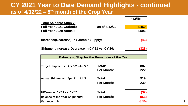### **CY 2021 Year to Date Demand Highlights - continued as of 4/12/22 – 8th month of the Crop Year**

|                                |               | In M/Ibs. |
|--------------------------------|---------------|-----------|
| <u> Total Saleable Supply:</u> |               |           |
| Full Year 2021 Outlook:        | as of 4/12/22 | 3.460     |
| <b>Full Year 2020 Actual:</b>  |               | 3.506     |
|                                |               |           |

**Increase/(Decrease) in Saleable Supply: (46)**

Shipment Increase/Decrease in CY'21 vs. CY'20:



| <b>Balance to Ship for the Remainder of the Year</b> |                   |         |  |  |  |  |  |  |  |
|------------------------------------------------------|-------------------|---------|--|--|--|--|--|--|--|
|                                                      |                   |         |  |  |  |  |  |  |  |
| Target Shipments: Apr '22 - Jul '22:                 | Total:            | 887     |  |  |  |  |  |  |  |
|                                                      | <b>Per Month:</b> | 222     |  |  |  |  |  |  |  |
| Actual Shipments: Apr '21 - Jul '21:                 | Total:            | 919     |  |  |  |  |  |  |  |
|                                                      | <b>Per Month:</b> | 230     |  |  |  |  |  |  |  |
| Difference: CY'21 vs. CY'20                          | Total:            | (32)    |  |  |  |  |  |  |  |
|                                                      | <b>Per Month:</b> | (8.1)   |  |  |  |  |  |  |  |
| <b>Balance of the Year Shipments:</b>                |                   |         |  |  |  |  |  |  |  |
| Variance in %:                                       |                   | $-3.5%$ |  |  |  |  |  |  |  |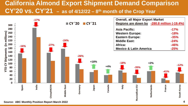### **California Almond Export Shipment Demand Comparison CY'20 vs. CY'21 – as of 4/12/22 – 8th month of the Crop Year**



**Source: ABC Monthly Position Report March 2022**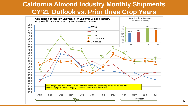### **California Almond Industry Monthly Shipments CY'21 Outlook vs. Prior three Crop Years**

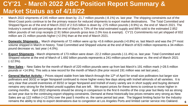### **CY'21 - March 2022 ABC Position Report Summary & Market Status as of 4/18/22**

- March 2022 shipments of 245 million were down by -21.7 million pounds (-8.1%) vs. last year The shipping constraints out of the West-Coast ports continue to be the primary reason for reduced shipments to export market destinations. The Total Committed and Shipped figure as of the end of March 2022 of 2.515 billion is down by -275 million pounds (-9.9%) vs. the end of March 2021. The Industry's overall sold percentage at the end of March is 73% of the total estimated supply and 88% sold to the estimated 2.852 billion pounds of net crop receipts (2.91 billion pounds gross less 2.0% loss & exempt). CY'21 Commitments not yet shipped of 832 million are 21 million pounds higher (+2.5%) than at the end of March 2021.
- **Domestic Shipments** March shipments of 72 million were up by +0.6 million pounds (+0.8%) vs. last March and was the 2<sup>nd</sup> most volume shipped in March in history. Total Committed and Shipped volume at the end of March of 823 million represents a 34-millionpound decrease vs. last year (-4.0%).
- **Export Shipments** March shipments of 173 million were down -22.2 million pounds (-11.4%) vs. last year. Total Committed and Shipped volume at the end of March of 1.692 billion pounds represents a 241-million-pound decrease vs. the end of March 2021  $(-12.5\%)$ .
- **New Sales -** New Sales for the month of March of 220 million pounds were up from last March's 191 million mark (+28.5 million pounds or +14.9%). This sets a new record for the month of March (the prior record 191 million was set last year)..
- General Market Activity Prices stayed stable from late March through the 12<sup>th</sup> of April for small size pollinators but larger size pollinators and 30/32 or larger Nonpareil continued to move higher every few days along with Inshell almonds of all varieties. It is very clear that unsold inventories of 30/32 or larger Nonpareil and Inshell of every variety are in short supply and buying demand remains very strong for the limited unsold supplies that are left. We expect prices for these items to continue to move higher in coming months. April 2022 shipments should be strong in comparison to the first 6 months of the crop year but likely not as strong as last year due to the continuing export shipping constraints. Demand at these historically low prices remains very strong as New Sales are up 122 million (+12.5%) over the past 5 months vs. the same period last year. The biggest limiting factor for the Industry remains the ability to ship to export destinations due to congestion at Los Angeles Ports and limited carrier service into Oakland.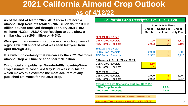# **2021 California Almond Crop Outlook as of 4/12/22**

**As of the end of March 2022, ABC Form 1 California Almond Crop Receipts totaled 2.902 Billion vs. the 3.093 Billion pounds received through February 2021 (-192 millionor -6.2%). USDA Crop Receipts to date show a similar change (-205 million or -6.6%).**

**We expect that remaining crop receipt reporting from all regions will fall short of what was seen last year from April through July.**

**It is with high certainty that we can say the 2021 California Almond Crop will finalize at or near 2.91 billion.**

**Our official and published Wonderful/Famoso/Ag-Wise crop estimate released last May 2021 was 2.95 billion which makes this estimate the most accurate of any published estimates for the 2021 crop.**

#### **End of Change in End of March Volume July Final 2020/21 Crop Year**  $\vert$ USDA Crop Receipts 3,105  $\vert$  5 3,110 ABC Form 1 Receipts 3,093 14 3,107 **2021/22 Crop Year** USDA Crop Receipts 2,900 5 2,905 ABC Form 1 Receipts 2,902 14 2,915 **Difference in % : 21/22 vs. 20/21:** USDA Crop Receipts **Fig. 10 SD** 16.6% ABC Form 1 Receipts **Form 1** Receipts **2021/22 Crop Year** USDA Crop Receipts 2,900 **2,900** 2,904 ABC Form 1 Receipts 2,902 **13** 2,914 **Average of Two Scenarios (Outlook CY21/22) USDA Crop Receipts 2,904 ABC Form 1 Receipts 2,915 Pounds In Millions California Crop Receipts: CY21 vs. CY20**

**Assumes Same Volume Left in Total Lbs as the end of March 2021.**

**Assumes Same Volume Left as the % Down YTD as of March 31, 2022**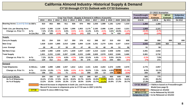#### **California Almond Industry- Historical Supply & Demand CY'10 through CY'21 Outlook with CY'22 Estimates**

|                                       |              |                                  |       |          |       |         |         |                                                                    |       |              |       |               |          |                         | CY 2022 Scenarios                  |                 |                   |
|---------------------------------------|--------------|----------------------------------|-------|----------|-------|---------|---------|--------------------------------------------------------------------|-------|--------------|-------|---------------|----------|-------------------------|------------------------------------|-----------------|-------------------|
|                                       |              |                                  |       |          |       |         |         |                                                                    |       |              |       |               |          | Freeze/Drought          | <b>TNT</b>                         | WP&A            | <b>Subjective</b> |
|                                       |              |                                  |       |          |       |         |         | Crop Year Finals - (Supply & Demand in millions of pounds)         |       |              |       |               |          | <b>Model Estimate</b>   | <b>Estimate</b>                    | <b>Estimate</b> | <b>Estimate</b>   |
|                                       |              | 2010                             | 2011  | 2012     | 2013  | 2014    | 2015    | 2016                                                               | 2017  | 2018         | 2019  | 2020          | 2021 Otk | 2.54 B                  | 2.90B                              | By 5/11         | On 5/12           |
| Bearing Acres: (Land IQ Data In 000's |              | 810                              | 853   | 885      | 911   | 936     | 970     | 982                                                                | 1,035 | 1,088        | 1,181 | 1,242         | 1,310    | 1,360                   | 1,380                              |                 |                   |
| Yield: Lbs. per Bearing Acre:         |              | 2,010                            | 2,368 | 2,130    | 2,206 | 1,996   | 1,953   | 2,175                                                              | 2,185 | 2,086        | 2,160 | 2,502         | 2,221    | 1,869                   | 2,101                              |                 |                   |
| <b>Change vs. Prior Yr:</b>           | In $\%$ :    | 7.2%                             | 17.8% | $-10.1%$ | 3.6%  | $-9.5%$ | $-2.1%$ | 11.4%                                                              | 0.4%  | $-4.5%$      |       | $3.6\%$ 19.9% | $-11.2%$ | $-15.9%$                | $-4.7%$                            |                 |                   |
|                                       | In Lbs./Acr  | 135                              | 358   | (238)    | 76    | (210)   | (43)    | 222                                                                | 9     | (99)         | 74    | 416           | (280)    | (352)                   | (105)                              |                 |                   |
| <b>Supply</b>                         |              |                                  |       |          |       |         |         |                                                                    |       |              |       |               |          |                         |                                    |                 |                   |
| <b>Carry-in Supply</b>                |              | 321                              | 254   | 335      | 317   | 350     | 376     | 412                                                                | 398   | 357          | 315   | 450           | 608      | 890                     | 890                                | 890             | 890               |
| <b>New Crop</b>                       |              | 1,628                            | 2,020 | ,885     | 2,010 | 1,868   | 1,894   | 2,136                                                              | 2,261 | 2,270        | 2,551 | 3,107         | 2,910    | 2,542                   | 2,900                              | <b>N/A</b>      | N/A               |
| <b>Less: Exempt</b>                   |              | 28                               | 40    | 37       | 39    | 29      | 47      | 49                                                                 | 51    | 48           | 44    | 51            | 58       | 51                      | 58                                 |                 |                   |
| <b>Net New Crop:</b>                  |              | 1,600                            | 1,980 | 1,848    | 1,971 | 1,839   | 1,847   | 2,087                                                              | 2,210 | 2.222        | 2,508 | 3,056         | 2,852    | 2.491                   | 2,842                              |                 |                   |
| <b>Total Supply</b>                   |              | 1,921                            | 2,233 | 2,183    | 2,287 | 2,189   | 2,223   | 2,499                                                              | 2,609 | 2,579        | 2,822 | 3,506         | 3,460    | 3,381                   | 3,732                              |                 |                   |
| <b>Change vs. Prior Yr:</b>           | In $%$ :     | 7.2%                             | 16.2% | $-2.3%$  | 4.8%  | $-4.3%$ | 1.6%    | 12.4%                                                              | 4.4%  | $-1.1%$      | 9.5%  | 24.2%         | $-1.3%$  | $-2.3%$                 | 7.9%                               |                 |                   |
|                                       | In Lbs.:     | 129                              | 312   | (51)     | 105   | (99)    | 35      | 276                                                                | 110   | (30)         | 244   | 684           | (47)     | (79)                    | 272                                |                 |                   |
| <b>Demand</b>                         |              |                                  |       |          |       |         |         |                                                                    |       |              |       |               |          |                         |                                    |                 |                   |
| <b>Total Shipments:</b>               | In M/Lbs.:   | 1,668                            | 1.899 | 1,866    | 1.937 | 1,812   | 1,811   | 2,101                                                              | 2,252 | 2,264        | 2,372 | 2,898         | 2,570    | 2,776                   | 2,957                              |                 |                   |
| <b>Change vs. Prior Yr:</b>           | In $%$ :     | 13.3%                            | 13.9% | $-1.7%$  | 3.8%  | $-6.5%$ | $-0.1%$ | 16.0%                                                              | 7.2%  | 0.6%         | 4.8%  | 22.2%         | $-11.3%$ | 8.0%                    | 15.1%                              |                 |                   |
|                                       | In Lbs.:     | 196                              | 231   | (32)     | 71    | (125)   | (1)     | 290                                                                | 150   | 13           | 108   | 526           | (328)    | 206                     | 387                                |                 |                   |
| <b>Carry-out in M/Lbs.</b>            |              | 254                              | 335   | 317      | 350   | 376     | 412     | 398                                                                | 357   | 315          | 450   | 608           | 890      | 605                     | 775                                |                 |                   |
| As % of Shipments:                    |              | 15.2%                            | 17.6% | 17.0%    | 18.1% | 20.8%   | 22.7%   | 18.9%                                                              | 15.9% | <b>13.9%</b> | 19.0% | 21.0%         | 34.6%    | 21.8%                   | 26.2%                              |                 |                   |
| As % of Supply:                       |              | 13.2%                            | 15.0% | 14.5%    | 15.3% | 17.2%   | 18.5%   | 15.9%                                                              | 13.7% | 12.2%        | 15.9% | 17.3%         | 25.7%    | 17.9%                   | 20.8%                              |                 |                   |
|                                       |              |                                  |       |          |       |         |         | = Record Increase in shipments in both Lbs. and % increase         |       |              |       |               |          | CY'22 - Model           | = Yld/Acre based on Freeze/Drought |                 |                   |
|                                       |              |                                  |       |          |       |         |         | Record % increase in shipments prior to CY'20 was in 2007 (+18.3%) |       |              |       |               |          |                         | Model (see page 9)                 |                 |                   |
|                                       | <b>CY'18</b> | = lowest % since 2006 Crop Year. |       |          |       |         |         |                                                                    |       |              |       |               |          | TNT CY'22               | $=$ Released on 4/12/22            |                 |                   |
|                                       |              |                                  |       |          |       |         |         |                                                                    |       |              |       |               |          | <b>WP&amp;A CY'22</b>   | $=$ to be Released by $5/11/22$    |                 |                   |
|                                       |              |                                  |       |          |       |         |         |                                                                    |       |              |       |               |          | <b>Subjective CY'22</b> | $=$ to be Released on $5/12/22$    |                 |                   |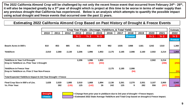**The 2022 California Almond Crop will be challenged by not only the recent freeze event that occurred from February 24th - 26th , it will also be impacted greatly by a 3rd year of drought which is project at this time to be worse in terms of water supply than any previous drought that California has experienced. Below is an analysis which attempts to quantify the possible impact using actual drought and freeze events that occurred over the past 11 years.**

#### **Estimating 2022 California Almond Crop Based on Past History of Drought & Freeze Events**

|                                                               |       | Crop Year Finals - (Acreage, Yield/Acre, & Total Yield) |                |              |                 |             |              |              |            |              |              |                | <b>Estimate</b> |
|---------------------------------------------------------------|-------|---------------------------------------------------------|----------------|--------------|-----------------|-------------|--------------|--------------|------------|--------------|--------------|----------------|-----------------|
|                                                               | 2010  | 2011                                                    | 2012           | 2013         | 2014            | 2015        | 2016         | 2017         | 2018       | 2019         | 2020         | 2021           | 2022            |
|                                                               |       |                                                         |                | <b>Yr</b> 1  | Yr <sub>2</sub> | Yr3         |              |              | Freeze     |              | Yr 1         | Yr2            | Yr3             |
|                                                               |       |                                                         |                |              |                 |             |              |              |            |              |              |                | <b>Freeze</b>   |
| <b>Bearin Acres in 000's</b>                                  | 810   | 853                                                     | 885            | 911          | 936             | 970         | 982          | 1035         | 1088       | 1181         | 1242         | 1310           | 1,360           |
| <b>Yield/Acre</b>                                             | 2,010 | 2,368                                                   | 2,130          | 2,206        | 1,996           | 1,953       | 2,175        | 2,185        | 2,086      | 2,160        | 2,502        | 2,214          | 1,869           |
|                                                               |       |                                                         |                |              |                 |             |              |              |            |              |              |                |                 |
| <b>Yield/Acre in Year 3 of Drought</b>                        |       |                                                         |                | 2,206        | 1,996           | 1,953       |              |              |            |              | 2,502        | 2,214          |                 |
| Drop in Yield/Acre vs. Prior Year 1 Drought                   |       |                                                         |                |              | (210)           | (253)       |              |              |            |              |              | (288)          | (250)           |
| <b>Yield/Acre in Freeze Year</b>                              |       |                                                         |                |              |                 |             | 2,175        | 2,185        | 2,086      |              |              |                |                 |
| Drop in Yield/Acre vs. Prior 2 Year Non-Freeze                |       |                                                         |                |              |                 |             |              |              | (94)       |              |              |                | (94)            |
| Total Expected Yield/Acre Impact In 3rd Year Drought + Freeze |       |                                                         |                |              |                 |             |              |              |            |              |              |                | (344)           |
| Final Crop Size in 000's of Lbs.<br><b>Vs. Prior Year:</b>    | 1,628 | 2,020<br>392                                            | 1,885<br>(135) | 2,010<br>125 | 1,868<br>(142)  | 1,894<br>26 | 2,136<br>242 | 2,261<br>125 | 2,270<br>9 | 2,551<br>282 | 3,107<br>556 | 2,900<br>(207) | 2,542<br>(358)  |



**Drought Example 20 Telechange from prior year in yield/acre due to 3rd year of drought + Freeze Impact.** 

**Freeze Extimated 2022 State Average Yield/Acre and Total Crop based on drought & Freeze impact.**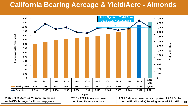# **California Bearing Acreage & Yield/Acre - Almonds**



**2007 - 2009 Acres & Yld/Acre are based on NASS Acreage for those crop years.** 

**2010 – 2021 Acres are based on Land IQ acreage data.** 

**2021 Estimate based on a crop size of 2.91 B Lbs.** & the Final Land IQ Bearing acres of 1.31 MM. | 10

**Yield in Lbs./Acre**

**Yield in Lbs./Acre**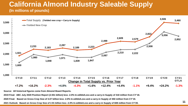### **California Almond Industry Saleable Supply (In millions of pounds)**



**Source: All historical figures come from Almond Board Reports.**

**2019 Final: ABC July 2020 Position Report (2.551 billion) less -2.0% In-edible/Loss and a carry-in Supply of 318 million from CY'18.**

**2020 Final: Based on Gross Crop Size of 3.07 billion less -2.0% In-edible/Loss and a carry-in Supply of 450 million from CY'19.**

**2021 Outlook: Based on Gross Crop Size of 2.91 billion less -2.0% In-edible/Loss and a carry-in Supply of 608 million from CY'20.**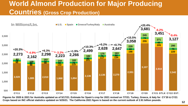# **World Almond Production for Major Producing Countries (Gross Crop Production)**



**Figures for 2020 & 2021 for Australia updated as of 5/17/21. Estimate for Spain's crop for 2021 revised on 7/7/21. Turkey, Greece, & Italy for CY'20 & CY21 Crops based on INC official statistics updated on 5/25/21. The California 2021 figure is based on the current outlook of 2.91 billion pounds.**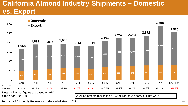# **California Almond Industry Shipments – Domestic vs. Export**



**Source: ABC Monthly Reports as of the end of March 2022.**